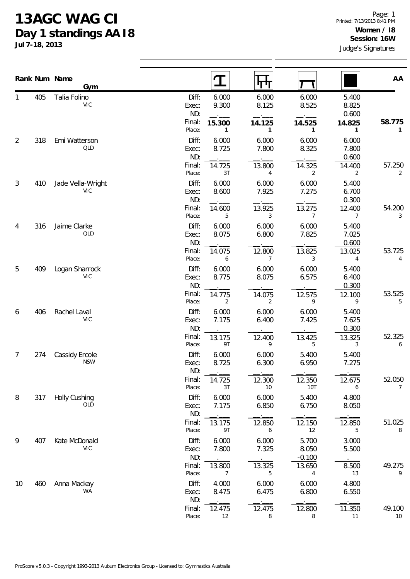## **13AGC WAG CI Day 1 standings AA I8**

**Jul 7-18, 2013**

| Rank Num Name  |     |                              |                       |                          |                          |                            |                          |                          |
|----------------|-----|------------------------------|-----------------------|--------------------------|--------------------------|----------------------------|--------------------------|--------------------------|
|                |     | Gym                          |                       | I                        | पण                       |                            |                          | AA                       |
|                | 405 | Talia Folino<br><b>VIC</b>   | Diff:<br>Exec:<br>ND: | 6.000<br>9.300           | 6.000<br>8.125           | 6.000<br>8.525             | 5.400<br>8.825<br>0.600  |                          |
|                |     |                              | Final:<br>Place:      | 15.300<br>1              | 14.125<br>$\mathbf{1}$   | 14.525<br>1                | 14.825<br>1              | 58.775<br>1              |
| 2              | 318 | Emi Watterson<br>QLD         | Diff:<br>Exec:<br>ND: | 6.000<br>8.725           | 6.000<br>7.800           | 6.000<br>8.325             | 6.000<br>7.800<br>0.600  |                          |
|                |     |                              | Final:<br>Place:      | 14.725<br>3T             | 13.800<br>4              | 14.325<br>2                | 14.400<br>2              | 57.250<br>2              |
| $\mathfrak{Z}$ | 410 | Jade Vella-Wright<br>VIC     | Diff:<br>Exec:<br>ND: | 6.000<br>8.600           | 6.000<br>7.925           | 6.000<br>7.275             | 5.400<br>6.700<br>0.300  |                          |
|                |     |                              | Final:<br>Place:      | 14.600<br>5              | 13.925<br>3              | 13.275<br>$\overline{7}$   | 12.400<br>$\overline{7}$ | 54.200<br>3              |
| 4              | 316 | Jaime Clarke<br>QLD          | Diff:<br>Exec:<br>ND: | 6.000<br>8.075           | 6.000<br>6.800           | 6.000<br>7.825             | 5.400<br>7.025<br>0.600  |                          |
|                |     |                              | Final:<br>Place:      | 14.075<br>6              | 12.800<br>$\overline{7}$ | 13.825<br>3                | 13.025<br>4              | 53.725<br>4              |
| 5              | 409 | Logan Sharrock<br><b>VIC</b> | Diff:<br>Exec:<br>ND: | 6.000<br>8.775           | 6.000<br>8.075           | 6.000<br>6.575             | 5.400<br>6.400<br>0.300  |                          |
|                |     |                              | Final:<br>Place:      | 14.775<br>2              | 14.075<br>2              | 12.575<br>9                | 12.100<br>9              | 53.525<br>5              |
| 6              | 406 | Rachel Laval<br><b>VIC</b>   | Diff:<br>Exec:<br>ND: | 6.000<br>7.175           | 6.000<br>6.400           | 6.000<br>7.425             | 5.400<br>7.625<br>0.300  |                          |
|                |     |                              | Final:<br>Place:      | 13.175<br>9T             | 12.400<br>9              | 13.425<br>5                | 13.325<br>3              | 52.325<br>6              |
| 7              | 274 | Cassidy Ercole<br><b>NSW</b> | Diff:<br>Exec:<br>ND: | 6.000<br>8.725           | 6.000<br>6.300           | 5.400<br>6.950             | 5.400<br>7.275           |                          |
|                |     |                              | Final:<br>Place:      | 14.725<br>3T             | 12.300<br>10             | 12.350<br>10T              | 12.675<br>6              | 52.050<br>$\overline{7}$ |
| 8              | 317 | Holly Cushing<br>QLD         | Diff:<br>Exec:<br>ND: | 6.000<br>7.175           | 6.000<br>6.850           | 5.400<br>6.750             | 4.800<br>8.050           |                          |
|                |     |                              | Final:<br>Place:      | 13.175<br>9T             | 12.850<br>6              | 12.150<br>12               | 12.850<br>5              | 51.025<br>8              |
| 9              | 407 | Kate McDonald<br><b>VIC</b>  | Diff:<br>Exec:<br>ND: | 6.000<br>7.800           | 6.000<br>7.325           | 5.700<br>8.050<br>$-0.100$ | 3.000<br>5.500           |                          |
|                |     |                              | Final:<br>Place:      | 13.800<br>$\overline{7}$ | 13.325<br>5              | 13.650<br>4                | 8.500<br>13              | 49.275<br>9              |
| 10             | 460 | Anna Mackay<br><b>WA</b>     | Diff:<br>Exec:<br>ND: | 4.000<br>8.475           | 6.000<br>6.475           | 6.000<br>6.800             | 4.800<br>6.550           |                          |
|                |     |                              | Final:<br>Place:      | 12.475<br>12             | 12.475<br>8              | 12.800<br>8                | 11.350<br>11             | 49.100<br>10             |